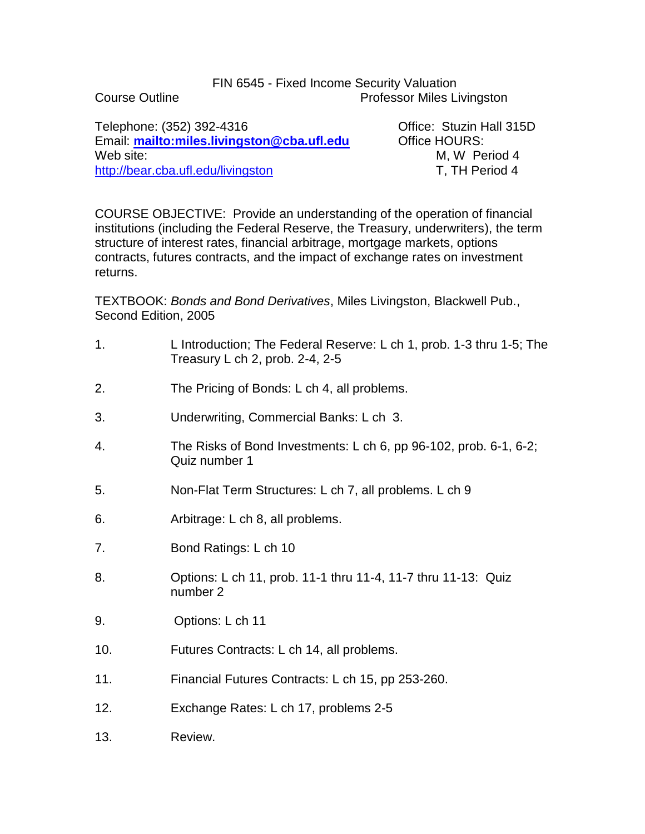## FIN 6545 - Fixed Income Security Valuation Course Outline Professor Miles Livingston

Telephone: (352) 392-4316 Office: Stuzin Hall 315D Email: **<mailto:miles.livingston@cba.ufl.edu>** Office HOURS: Web site:  $M$ , W Period 4 <http://bear.cba.ufl.edu/livingston> T, TH Period 4

COURSE OBJECTIVE: Provide an understanding of the operation of financial institutions (including the Federal Reserve, the Treasury, underwriters), the term structure of interest rates, financial arbitrage, mortgage markets, options contracts, futures contracts, and the impact of exchange rates on investment returns.

TEXTBOOK: *Bonds and Bond Derivatives*, Miles Livingston, Blackwell Pub., Second Edition, 2005

- 1. L Introduction; The Federal Reserve: L ch 1, prob. 1-3 thru 1-5; The Treasury L ch 2, prob. 2-4, 2-5
- 2. The Pricing of Bonds: L ch 4, all problems.
- 3. Underwriting, Commercial Banks: L ch 3.
- 4. The Risks of Bond Investments: L ch 6, pp 96-102, prob. 6-1, 6-2; Quiz number 1
- 5. Non-Flat Term Structures: L ch 7, all problems. L ch 9
- 6. Arbitrage: L ch 8, all problems.
- 7. Bond Ratings: L ch 10
- 8. Options: L ch 11, prob. 11-1 thru 11-4, 11-7 thru 11-13: Quiz number 2
- 9. Options: L ch 11
- 10. Futures Contracts: L ch 14, all problems.
- 11. Financial Futures Contracts: L ch 15, pp 253-260.
- 12. Exchange Rates: L ch 17, problems 2-5
- 13. Review.